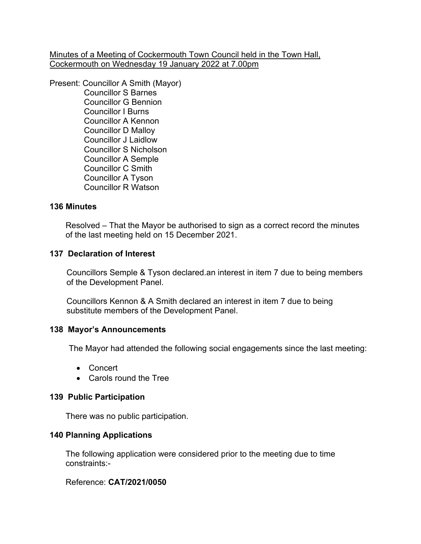Minutes of a Meeting of Cockermouth Town Council held in the Town Hall, Cockermouth on Wednesday 19 January 2022 at 7.00pm

Present: Councillor A Smith (Mayor) Councillor S Barnes Councillor G Bennion Councillor I Burns

> Councillor A Kennon Councillor D Malloy Councillor J Laidlow Councillor S Nicholson Councillor A Semple Councillor C Smith Councillor A Tyson Councillor R Watson

## **136 Minutes**

 Resolved – That the Mayor be authorised to sign as a correct record the minutes of the last meeting held on 15 December 2021.

## **137 Declaration of Interest**

Councillors Semple & Tyson declared.an interest in item 7 due to being members of the Development Panel.

 Councillors Kennon & A Smith declared an interest in item 7 due to being substitute members of the Development Panel.

#### **138 Mayor's Announcements**

The Mayor had attended the following social engagements since the last meeting:

- Concert
- Carols round the Tree

#### **139 Public Participation**

There was no public participation.

## **140 Planning Applications**

The following application were considered prior to the meeting due to time constraints:-

## Reference: **CAT/2021/0050**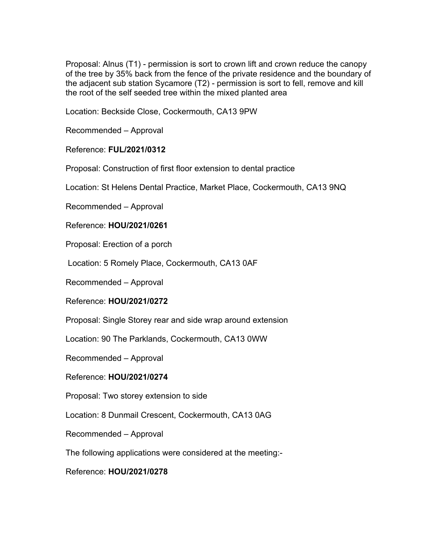Proposal: Alnus (T1) - permission is sort to crown lift and crown reduce the canopy of the tree by 35% back from the fence of the private residence and the boundary of the adjacent sub station Sycamore (T2) - permission is sort to fell, remove and kill the root of the self seeded tree within the mixed planted area

Location: Beckside Close, Cockermouth, CA13 9PW

Recommended – Approval

### Reference: **FUL/2021/0312**

Proposal: Construction of first floor extension to dental practice

Location: St Helens Dental Practice, Market Place, Cockermouth, CA13 9NQ

Recommended – Approval

Reference: **HOU/2021/0261**

Proposal: Erection of a porch

Location: 5 Romely Place, Cockermouth, CA13 0AF

Recommended – Approval

Reference: **HOU/2021/0272**

Proposal: Single Storey rear and side wrap around extension

Location: 90 The Parklands, Cockermouth, CA13 0WW

Recommended – Approval

Reference: **HOU/2021/0274**

Proposal: Two storey extension to side

Location: 8 Dunmail Crescent, Cockermouth, CA13 0AG

Recommended – Approval

The following applications were considered at the meeting:-

Reference: **HOU/2021/0278**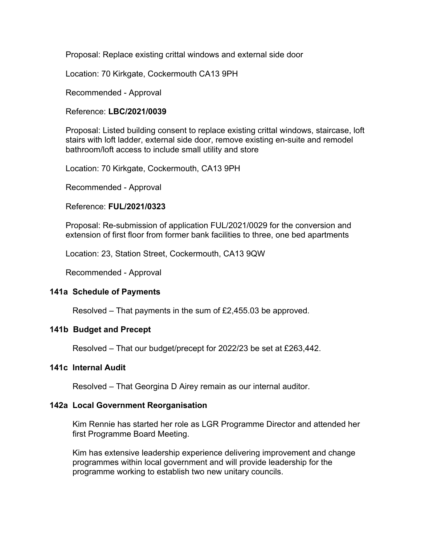Proposal: Replace existing crittal windows and external side door

Location: 70 Kirkgate, Cockermouth CA13 9PH

Recommended - Approval

Reference: **LBC/2021/0039**

 Proposal: Listed building consent to replace existing crittal windows, staircase, loft stairs with loft ladder, external side door, remove existing en-suite and remodel bathroom/loft access to include small utility and store

Location: 70 Kirkgate, Cockermouth, CA13 9PH

Recommended - Approval

Reference: **FUL/2021/0323**

 Proposal: Re-submission of application FUL/2021/0029 for the conversion and extension of first floor from former bank facilities to three, one bed apartments

Location: 23, Station Street, Cockermouth, CA13 9QW

Recommended - Approval

## **141a Schedule of Payments**

Resolved – That payments in the sum of £2,455.03 be approved.

#### **141b Budget and Precept**

Resolved – That our budget/precept for 2022/23 be set at £263,442.

#### **141c Internal Audit**

Resolved – That Georgina D Airey remain as our internal auditor.

#### **142a Local Government Reorganisation**

Kim Rennie has started her role as LGR Programme Director and attended her first Programme Board Meeting.

 Kim has extensive leadership experience delivering improvement and change programmes within local government and will provide leadership for the programme working to establish two new unitary councils.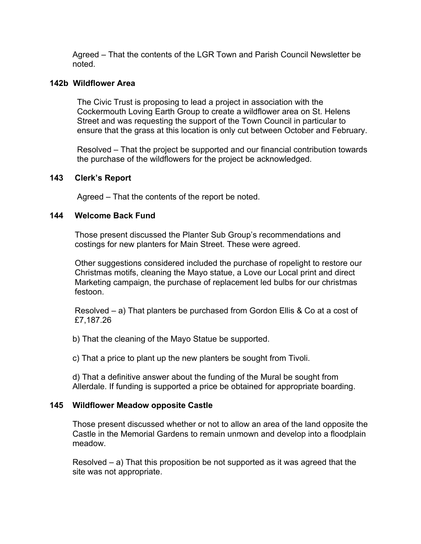Agreed – That the contents of the LGR Town and Parish Council Newsletter be noted.

## **142b Wildflower Area**

 The Civic Trust is proposing to lead a project in association with the Cockermouth Loving Earth Group to create a wildflower area on St. Helens Street and was requesting the support of the Town Council in particular to ensure that the grass at this location is only cut between October and February.

 Resolved – That the project be supported and our financial contribution towards the purchase of the wildflowers for the project be acknowledged.

### **143 Clerk's Report**

Agreed – That the contents of the report be noted.

## **144 Welcome Back Fund**

Those present discussed the Planter Sub Group's recommendations and costings for new planters for Main Street. These were agreed.

 Other suggestions considered included the purchase of ropelight to restore our Christmas motifs, cleaning the Mayo statue, a Love our Local print and direct Marketing campaign, the purchase of replacement led bulbs for our christmas festoon.

 Resolved – a) That planters be purchased from Gordon Ellis & Co at a cost of £7,187.26

b) That the cleaning of the Mayo Statue be supported.

c) That a price to plant up the new planters be sought from Tivoli.

 d) That a definitive answer about the funding of the Mural be sought from Allerdale. If funding is supported a price be obtained for appropriate boarding.

## **145 Wildflower Meadow opposite Castle**

 Those present discussed whether or not to allow an area of the land opposite the Castle in the Memorial Gardens to remain unmown and develop into a floodplain meadow.

Resolved  $-$  a) That this proposition be not supported as it was agreed that the site was not appropriate.